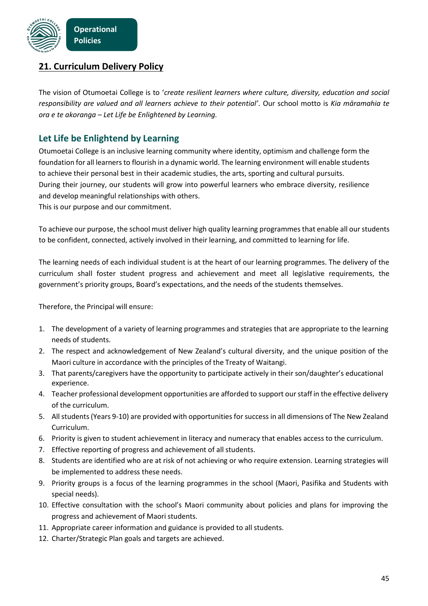

## **21. Curriculum Delivery Policy**

The vision of Otumoetai College is to '*create resilient learners where culture, diversity, education and social responsibility are valued and all learners achieve to their potential'*. Our school motto is *Kia māramahia te ora e te akoranga – Let Life be Enlightened by Learning.*

## **Let Life be Enlightend by Learning**

Otumoetai College is an inclusive learning community where identity, optimism and challenge form the foundation for all learners to flourish in a dynamic world. The learning environment will enable students to achieve their personal best in their academic studies, the arts, sporting and cultural pursuits. During their journey, our students will grow into powerful learners who embrace diversity, resilience and develop meaningful relationships with others. This is our purpose and our commitment.

To achieve our purpose, the school must deliver high quality learning programmes that enable all our students to be confident, connected, actively involved in their learning, and committed to learning for life.

The learning needs of each individual student is at the heart of our learning programmes. The delivery of the curriculum shall foster student progress and achievement and meet all legislative requirements, the government's priority groups, Board's expectations, and the needs of the students themselves.

Therefore, the Principal will ensure:

- 1. The development of a variety of learning programmes and strategies that are appropriate to the learning needs of students.
- 2. The respect and acknowledgement of New Zealand's cultural diversity, and the unique position of the Maori culture in accordance with the principles of the Treaty of Waitangi.
- 3. That parents/caregivers have the opportunity to participate actively in their son/daughter's educational experience.
- 4. Teacher professional development opportunities are afforded to support ourstaff in the effective delivery of the curriculum.
- 5. Allstudents(Years 9-10) are provided with opportunities forsuccess in all dimensions of The New Zealand Curriculum.
- 6. Priority is given to student achievement in literacy and numeracy that enables access to the curriculum.
- 7. Effective reporting of progress and achievement of all students.
- 8. Students are identified who are at risk of not achieving or who require extension. Learning strategies will be implemented to address these needs.
- 9. Priority groups is a focus of the learning programmes in the school (Maori, Pasifika and Students with special needs).
- 10. Effective consultation with the school's Maori community about policies and plans for improving the progress and achievement of Maori students.
- 11. Appropriate career information and guidance is provided to all students.
- 12. Charter/Strategic Plan goals and targets are achieved.